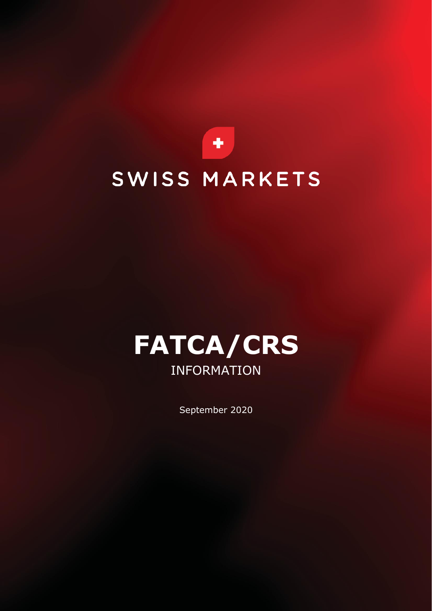



September 2020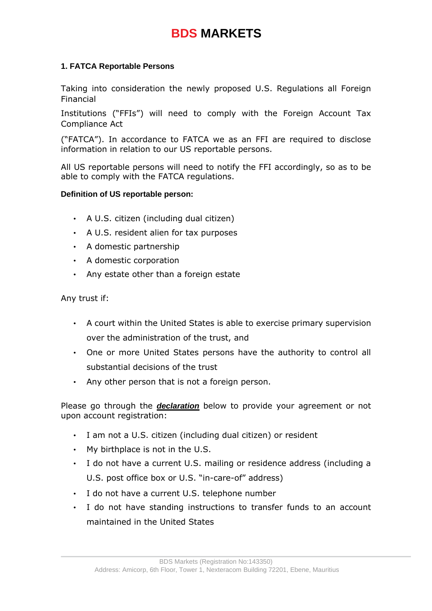# **BDS MARKETS**

### **1. FATCA Reportable Persons**

Taking into consideration the newly proposed U.S. Regulations all Foreign Financial

Institutions ("FFIs") will need to comply with the Foreign Account Tax Compliance Act

("FATCA"). In accordance to FATCA we as an FFI are required to disclose information in relation to our US reportable persons.

All US reportable persons will need to notify the FFI accordingly, so as to be able to comply with the FATCA regulations.

#### **Definition of US reportable person:**

- A U.S. citizen (including dual citizen)
- A U.S. resident alien for tax purposes
- A domestic partnership
- A domestic corporation
- Any estate other than a foreign estate

Any trust if:

- A court within the United States is able to exercise primary supervision over the administration of the trust, and
- One or more United States persons have the authority to control all substantial decisions of the trust
- Any other person that is not a foreign person.

Please go through the *declaration* below to provide your agreement or not upon account registration:

- I am not a U.S. citizen (including dual citizen) or resident
- My birthplace is not in the U.S.
- I do not have a current U.S. mailing or residence address (including a U.S. post office box or U.S. "in-care-of" address)
- I do not have a current U.S. telephone number
- I do not have standing instructions to transfer funds to an account maintained in the United States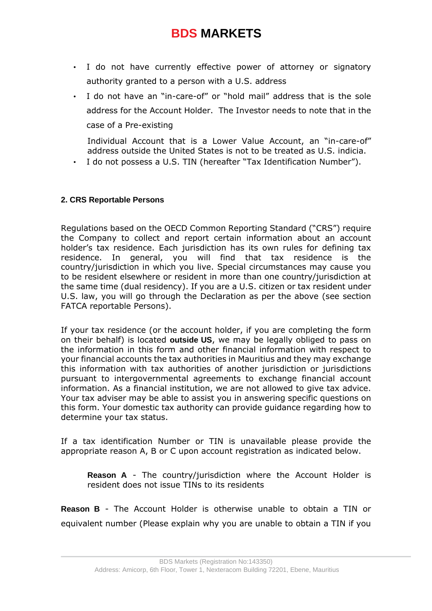## **BDS MARKETS**

- I do not have currently effective power of attorney or signatory authority granted to a person with a U.S. address
- I do not have an "in-care-of" or "hold mail" address that is the sole address for the Account Holder. The Investor needs to note that in the case of a Pre-existing

Individual Account that is a Lower Value Account, an "in-care-of" address outside the United States is not to be treated as U.S. indicia.

• I do not possess a U.S. TIN (hereafter "Tax Identification Number").

#### **2. CRS Reportable Persons**

Regulations based on the OECD Common Reporting Standard ("CRS") require the Company to collect and report certain information about an account holder's tax residence. Each jurisdiction has its own rules for defining tax residence. In general, you will find that tax residence is the country/jurisdiction in which you live. Special circumstances may cause you to be resident elsewhere or resident in more than one country/jurisdiction at the same time (dual residency). If you are a U.S. citizen or tax resident under U.S. law, you will go through the Declaration as per the above (see section FATCA reportable Persons).

If your tax residence (or the account holder, if you are completing the form on their behalf) is located **outside US**, we may be legally obliged to pass on the information in this form and other financial information with respect to your financial accounts the tax authorities in Mauritius and they may exchange this information with tax authorities of another jurisdiction or jurisdictions pursuant to intergovernmental agreements to exchange financial account information. As a financial institution, we are not allowed to give tax advice. Your tax adviser may be able to assist you in answering specific questions on this form. Your domestic tax authority can provide guidance regarding how to determine your tax status.

If a tax identification Number or TIN is unavailable please provide the appropriate reason A, B or C upon account registration as indicated below.

**Reason A** - The country/jurisdiction where the Account Holder is resident does not issue TINs to its residents

**Reason B** - The Account Holder is otherwise unable to obtain a TIN or equivalent number (Please explain why you are unable to obtain a TIN if you